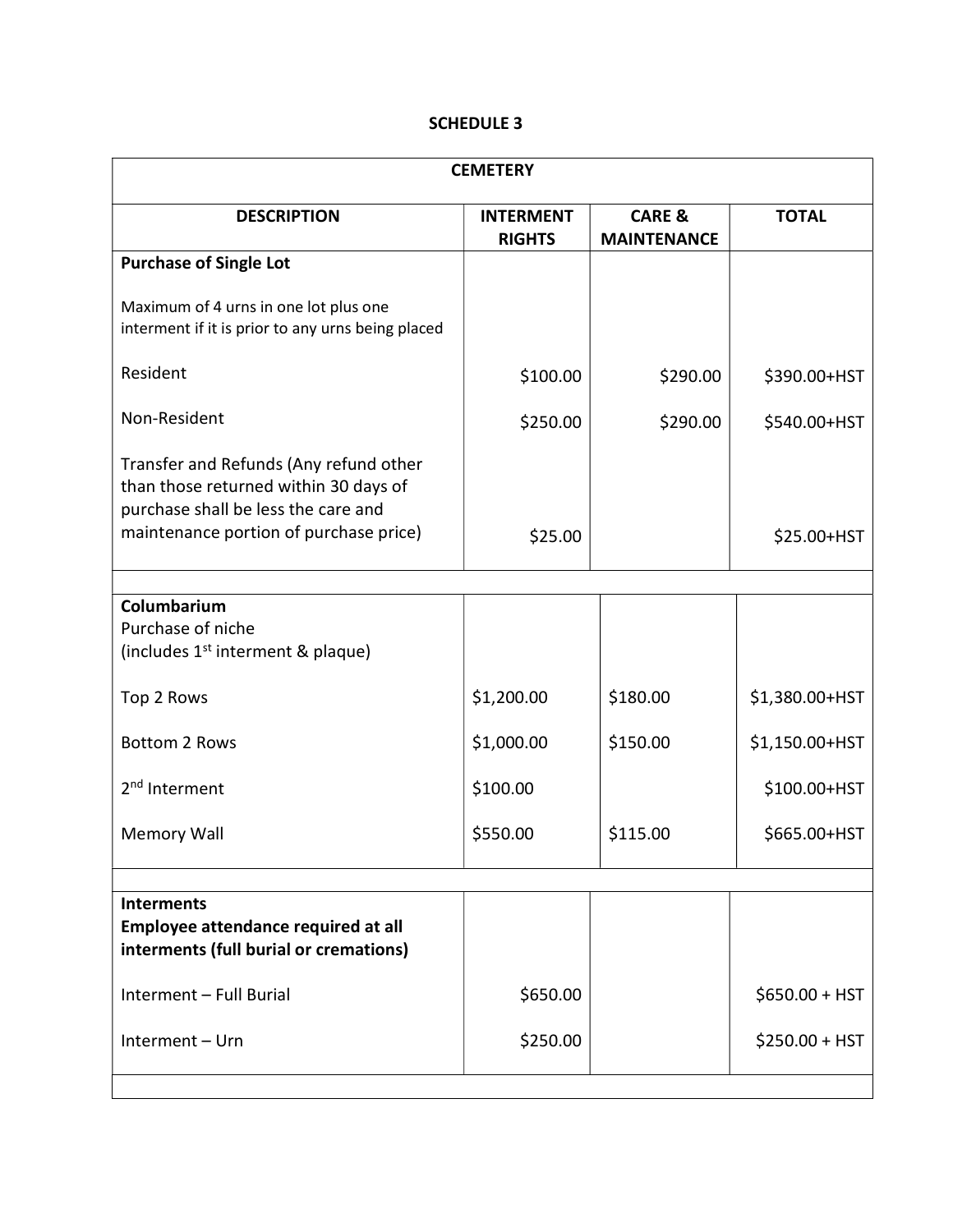## SCHEDULE 3

| <b>CEMETERY</b>                                                                                                                                                  |                                   |                                         |                 |  |
|------------------------------------------------------------------------------------------------------------------------------------------------------------------|-----------------------------------|-----------------------------------------|-----------------|--|
| <b>DESCRIPTION</b>                                                                                                                                               | <b>INTERMENT</b><br><b>RIGHTS</b> | <b>CARE &amp;</b><br><b>MAINTENANCE</b> | <b>TOTAL</b>    |  |
| <b>Purchase of Single Lot</b>                                                                                                                                    |                                   |                                         |                 |  |
| Maximum of 4 urns in one lot plus one<br>interment if it is prior to any urns being placed                                                                       |                                   |                                         |                 |  |
| Resident                                                                                                                                                         | \$100.00                          | \$290.00                                | \$390.00+HST    |  |
| Non-Resident                                                                                                                                                     | \$250.00                          | \$290.00                                | \$540.00+HST    |  |
| Transfer and Refunds (Any refund other<br>than those returned within 30 days of<br>purchase shall be less the care and<br>maintenance portion of purchase price) | \$25.00                           |                                         | $$25.00+HST$    |  |
|                                                                                                                                                                  |                                   |                                         |                 |  |
| Columbarium<br>Purchase of niche<br>(includes 1 <sup>st</sup> interment & plaque)                                                                                |                                   |                                         |                 |  |
| Top 2 Rows                                                                                                                                                       | \$1,200.00                        | \$180.00                                | \$1,380.00+HST  |  |
| <b>Bottom 2 Rows</b>                                                                                                                                             | \$1,000.00                        | \$150.00                                | \$1,150.00+HST  |  |
| 2 <sup>nd</sup> Interment                                                                                                                                        | \$100.00                          |                                         | \$100.00+HST    |  |
| <b>Memory Wall</b>                                                                                                                                               | \$550.00                          | \$115.00                                | \$665.00+HST    |  |
|                                                                                                                                                                  |                                   |                                         |                 |  |
| <b>Interments</b><br>Employee attendance required at all<br>interments (full burial or cremations)                                                               |                                   |                                         |                 |  |
| Interment - Full Burial                                                                                                                                          | \$650.00                          |                                         | $$650.00 + HST$ |  |
| Interment - Urn                                                                                                                                                  | \$250.00                          |                                         | $$250.00 + HST$ |  |
|                                                                                                                                                                  |                                   |                                         |                 |  |